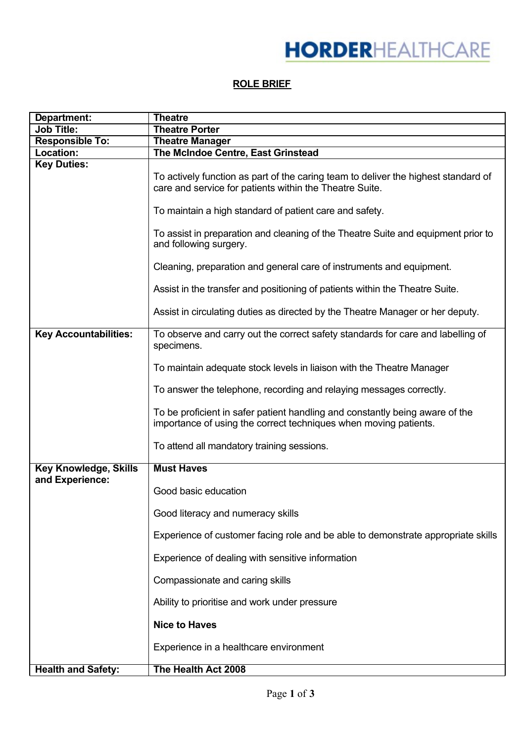## **ROLE BRIEF**

| Department:                  | <b>Theatre</b>                                                                                                                                   |
|------------------------------|--------------------------------------------------------------------------------------------------------------------------------------------------|
| <b>Job Title:</b>            | <b>Theatre Porter</b>                                                                                                                            |
| <b>Responsible To:</b>       | <b>Theatre Manager</b>                                                                                                                           |
| Location:                    | The McIndoe Centre, East Grinstead                                                                                                               |
| <b>Key Duties:</b>           | To actively function as part of the caring team to deliver the highest standard of<br>care and service for patients within the Theatre Suite.    |
|                              | To maintain a high standard of patient care and safety.                                                                                          |
|                              | To assist in preparation and cleaning of the Theatre Suite and equipment prior to<br>and following surgery.                                      |
|                              | Cleaning, preparation and general care of instruments and equipment.                                                                             |
|                              | Assist in the transfer and positioning of patients within the Theatre Suite.                                                                     |
|                              | Assist in circulating duties as directed by the Theatre Manager or her deputy.                                                                   |
| <b>Key Accountabilities:</b> | To observe and carry out the correct safety standards for care and labelling of<br>specimens.                                                    |
|                              | To maintain adequate stock levels in liaison with the Theatre Manager                                                                            |
|                              | To answer the telephone, recording and relaying messages correctly.                                                                              |
|                              | To be proficient in safer patient handling and constantly being aware of the<br>importance of using the correct techniques when moving patients. |
|                              | To attend all mandatory training sessions.                                                                                                       |
| <b>Key Knowledge, Skills</b> | <b>Must Haves</b>                                                                                                                                |
| and Experience:              | Good basic education                                                                                                                             |
|                              | Good literacy and numeracy skills                                                                                                                |
|                              | Experience of customer facing role and be able to demonstrate appropriate skills                                                                 |
|                              | Experience of dealing with sensitive information                                                                                                 |
|                              | Compassionate and caring skills                                                                                                                  |
|                              | Ability to prioritise and work under pressure                                                                                                    |
|                              | <b>Nice to Haves</b>                                                                                                                             |
|                              | Experience in a healthcare environment                                                                                                           |
| <b>Health and Safety:</b>    | The Health Act 2008                                                                                                                              |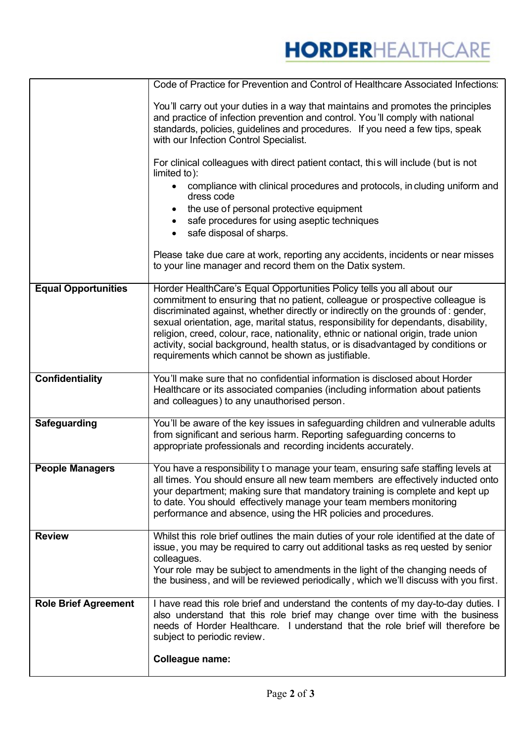## **HORDERHEALTHCARE**

|                             | Code of Practice for Prevention and Control of Healthcare Associated Infections:                                                                                                                                                                                                                                                                                                                                                                                                                                                                                    |
|-----------------------------|---------------------------------------------------------------------------------------------------------------------------------------------------------------------------------------------------------------------------------------------------------------------------------------------------------------------------------------------------------------------------------------------------------------------------------------------------------------------------------------------------------------------------------------------------------------------|
|                             | You'll carry out your duties in a way that maintains and promotes the principles<br>and practice of infection prevention and control. You'll comply with national<br>standards, policies, guidelines and procedures. If you need a few tips, speak<br>with our Infection Control Specialist.                                                                                                                                                                                                                                                                        |
|                             | For clinical colleagues with direct patient contact, this will include (but is not<br>limited to):                                                                                                                                                                                                                                                                                                                                                                                                                                                                  |
|                             | compliance with clinical procedures and protocols, in cluding uniform and<br>dress code                                                                                                                                                                                                                                                                                                                                                                                                                                                                             |
|                             | the use of personal protective equipment<br>safe procedures for using aseptic techniques<br>safe disposal of sharps.                                                                                                                                                                                                                                                                                                                                                                                                                                                |
|                             | Please take due care at work, reporting any accidents, incidents or near misses<br>to your line manager and record them on the Datix system.                                                                                                                                                                                                                                                                                                                                                                                                                        |
| <b>Equal Opportunities</b>  | Horder HealthCare's Equal Opportunities Policy tells you all about our<br>commitment to ensuring that no patient, colleague or prospective colleague is<br>discriminated against, whether directly or indirectly on the grounds of : gender,<br>sexual orientation, age, marital status, responsibility for dependants, disability,<br>religion, creed, colour, race, nationality, ethnic or national origin, trade union<br>activity, social background, health status, or is disadvantaged by conditions or<br>requirements which cannot be shown as justifiable. |
| <b>Confidentiality</b>      | You'll make sure that no confidential information is disclosed about Horder<br>Healthcare or its associated companies (including information about patients<br>and colleagues) to any unauthorised person.                                                                                                                                                                                                                                                                                                                                                          |
| Safeguarding                | You'll be aware of the key issues in safeguarding children and vulnerable adults<br>from significant and serious harm. Reporting safeguarding concerns to<br>appropriate professionals and recording incidents accurately.                                                                                                                                                                                                                                                                                                                                          |
| <b>People Managers</b>      | You have a responsibility to manage your team, ensuring safe staffing levels at<br>all times. You should ensure all new team members are effectively inducted onto<br>your department; making sure that mandatory training is complete and kept up<br>to date. You should effectively manage your team members monitoring<br>performance and absence, using the HR policies and procedures.                                                                                                                                                                         |
| <b>Review</b>               | Whilst this role brief outlines the main duties of your role identified at the date of<br>issue, you may be required to carry out additional tasks as requested by senior<br>colleagues.<br>Your role may be subject to amendments in the light of the changing needs of<br>the business, and will be reviewed periodically, which we'll discuss with you first.                                                                                                                                                                                                    |
| <b>Role Brief Agreement</b> | I have read this role brief and understand the contents of my day-to-day duties. I<br>also understand that this role brief may change over time with the business<br>needs of Horder Healthcare. I understand that the role brief will therefore be<br>subject to periodic review.<br><b>Colleague name:</b>                                                                                                                                                                                                                                                        |
|                             |                                                                                                                                                                                                                                                                                                                                                                                                                                                                                                                                                                     |